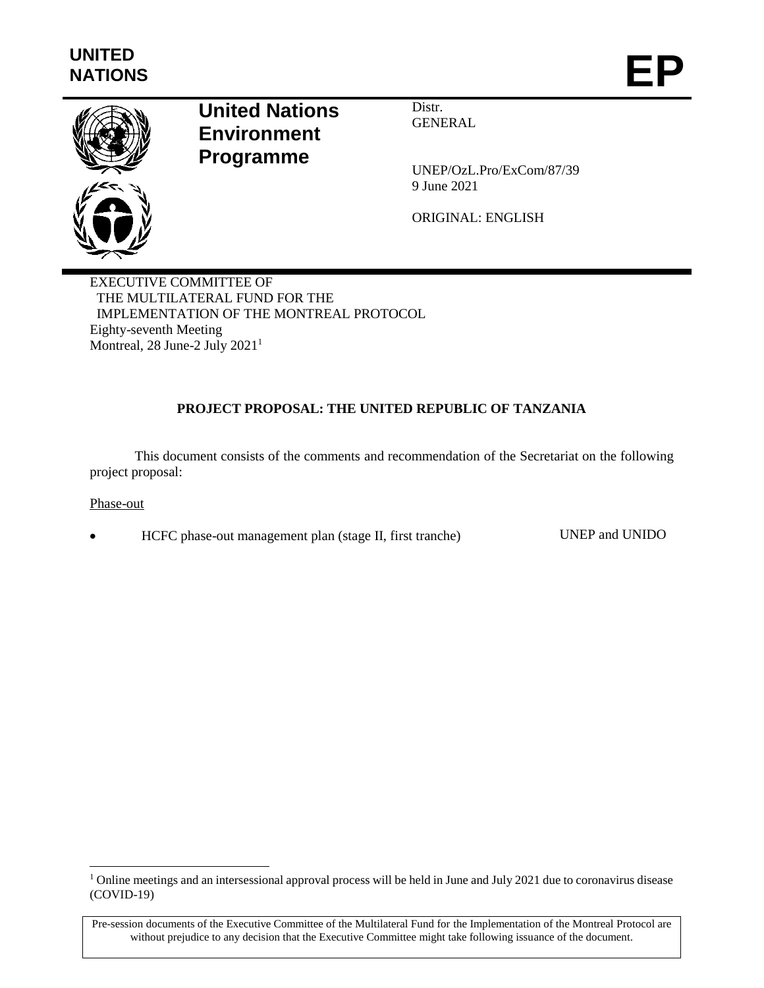

# **United Nations Environment Programme**

Distr. **GENERAL** 

UNEP/OzL.Pro/ExCom/87/39 9 June 2021

ORIGINAL: ENGLISH

EXECUTIVE COMMITTEE OF THE MULTILATERAL FUND FOR THE IMPLEMENTATION OF THE MONTREAL PROTOCOL Eighty-seventh Meeting Montreal, 28 June-2 July 2021<sup>1</sup>

# **PROJECT PROPOSAL: THE UNITED REPUBLIC OF TANZANIA**

This document consists of the comments and recommendation of the Secretariat on the following project proposal:

Phase-out

l

HCFC phase-out management plan (stage II, first tranche) UNEP and UNIDO

<sup>&</sup>lt;sup>1</sup> Online meetings and an intersessional approval process will be held in June and July 2021 due to coronavirus disease (COVID-19)

Pre-session documents of the Executive Committee of the Multilateral Fund for the Implementation of the Montreal Protocol are without prejudice to any decision that the Executive Committee might take following issuance of the document.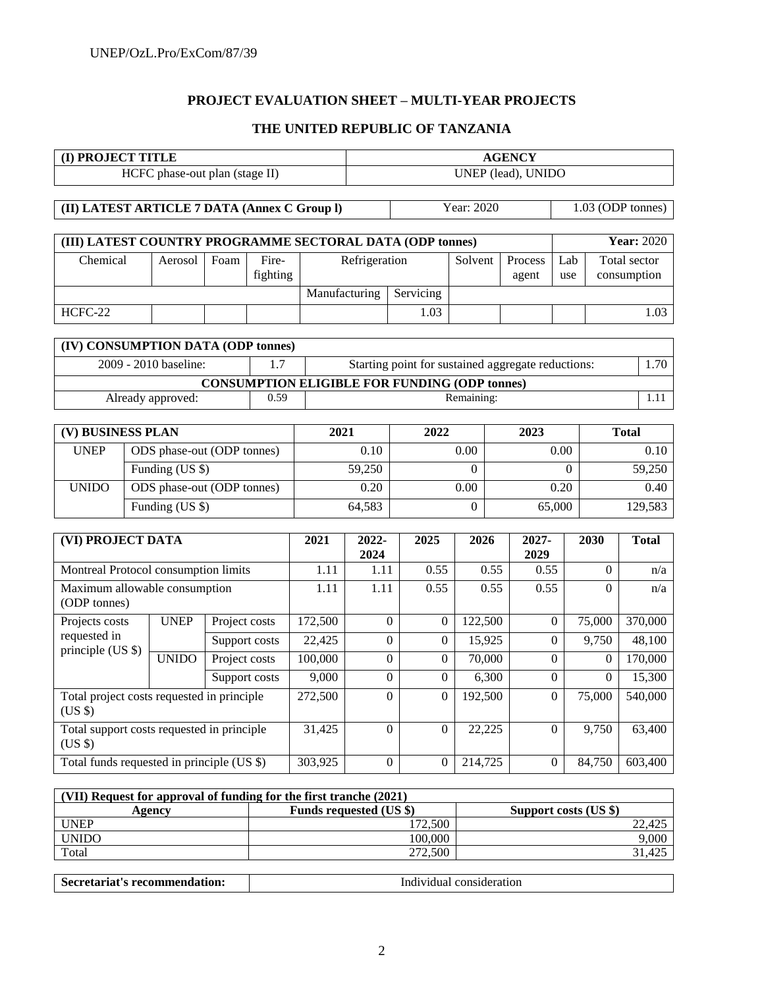# **PROJECT EVALUATION SHEET – MULTI-YEAR PROJECTS**

# **THE UNITED REPUBLIC OF TANZANIA**

|                                                           | (I) PROJECT TITLE          |      |          |      | <b>AGENCY</b> |  |            |         |     |                     |
|-----------------------------------------------------------|----------------------------|------|----------|------|---------------|--|------------|---------|-----|---------------------|
| UNEP (lead), UNIDO<br>HCFC phase-out plan (stage II)      |                            |      |          |      |               |  |            |         |     |                     |
|                                                           |                            |      |          |      |               |  |            |         |     |                     |
| (II) LATEST ARTICLE 7 DATA (Annex C Group I)              |                            |      |          |      |               |  | Year: 2020 |         |     | $1.03$ (ODP tonnes) |
|                                                           |                            |      |          |      |               |  |            |         |     |                     |
| (III) LATEST COUNTRY PROGRAMME SECTORAL DATA (ODP tonnes) |                            |      |          |      |               |  |            |         |     | <b>Year: 2020</b>   |
| Chemical                                                  | Aerosol                    | Foam | Fire-    |      | Refrigeration |  | Solvent    | Process | Lab | Total sector        |
|                                                           |                            |      | fighting |      |               |  |            | agent   | use | consumption         |
|                                                           | Servicing<br>Manufacturing |      |          |      |               |  |            |         |     |                     |
| HCFC-22                                                   |                            |      |          | 1.03 |               |  |            |         |     | 1.03                |
|                                                           |                            |      |          |      |               |  |            |         |     |                     |

| (IV) CONSUMPTION DATA (ODP tonnes)                                            |      |                                                      |  |  |  |  |
|-------------------------------------------------------------------------------|------|------------------------------------------------------|--|--|--|--|
| $2009 - 2010$ baseline:<br>Starting point for sustained aggregate reductions: |      |                                                      |  |  |  |  |
|                                                                               |      | <b>CONSUMPTION ELIGIBLE FOR FUNDING (ODP tonnes)</b> |  |  |  |  |
| Already approved:                                                             | 0.59 | Remaining:                                           |  |  |  |  |

| (V) BUSINESS PLAN |                            | 2021   | 2022 | 2023   | <b>Total</b> |
|-------------------|----------------------------|--------|------|--------|--------------|
| <b>UNEP</b>       | ODS phase-out (ODP tonnes) | 0.10   | 0.00 | 0.00   | 0.10         |
|                   | Funding (US \$)            | 59.250 |      |        | 59.250       |
| <b>UNIDO</b>      | ODS phase-out (ODP tonnes) | 0.20   | 0.00 | 0.20   | 0.40         |
|                   | Funding (US \$)            | 64,583 |      | 65,000 | 129,583      |

| (VI) PROJECT DATA                                     |              |               | 2021     | 2022-<br>2024 | 2025           | 2026     | $2027 -$<br>2029 | 2030     | <b>Total</b> |
|-------------------------------------------------------|--------------|---------------|----------|---------------|----------------|----------|------------------|----------|--------------|
| Montreal Protocol consumption limits                  |              |               | 1.11     | 1.11          | 0.55           | 0.55     | 0.55             | $\Omega$ | n/a          |
| Maximum allowable consumption<br>(ODP tonnes)         |              | 1.11          | 1.11     | 0.55          | 0.55           | 0.55     | $\Omega$         | n/a      |              |
| Projects costs                                        | <b>UNEP</b>  | Project costs | 172,500  | $\theta$      | $\overline{0}$ | 122,500  | $\Omega$         | 75,000   | 370,000      |
| requested in<br>principle $(US \$                     |              | Support costs | 22,425   | $\theta$      | 0              | 15,925   | $\Omega$         | 9.750    | 48,100       |
|                                                       | <b>UNIDO</b> | Project costs | 100,000  | $\theta$      | $\theta$       | 70,000   | $\Omega$         | $\Omega$ | 170,000      |
|                                                       |              | Support costs | 9,000    | $\theta$      | $\theta$       | 6,300    | $\Omega$         | 0        | 15,300       |
| Total project costs requested in principle<br>$(US \$ |              | 272,500       | $\Omega$ | $\theta$      | 192,500        | $\Omega$ | 75,000           | 540,000  |              |
| Total support costs requested in principle<br>$(US \$ |              |               | 31,425   | $\theta$      | $\Omega$       | 22,225   | $\Omega$         | 9,750    | 63,400       |
| Total funds requested in principle (US \$)            |              |               | 303,925  | $\theta$      | $\overline{0}$ | 214,725  | $\Omega$         | 84,750   | 603,400      |

| (VII) Request for approval of funding for the first tranche (2021) |                                |                       |  |  |  |  |  |  |
|--------------------------------------------------------------------|--------------------------------|-----------------------|--|--|--|--|--|--|
| Agencv                                                             | <b>Funds requested (US \$)</b> | Support costs (US \$) |  |  |  |  |  |  |
| <b>UNEP</b>                                                        | 172.500                        | 22.425                |  |  |  |  |  |  |
| <b>UNIDO</b>                                                       | 100.000                        | 9,000                 |  |  |  |  |  |  |
| Total                                                              | 272.500                        | 31.425                |  |  |  |  |  |  |

| Secretariat's recommendation: | Individual consideration |
|-------------------------------|--------------------------|
|                               |                          |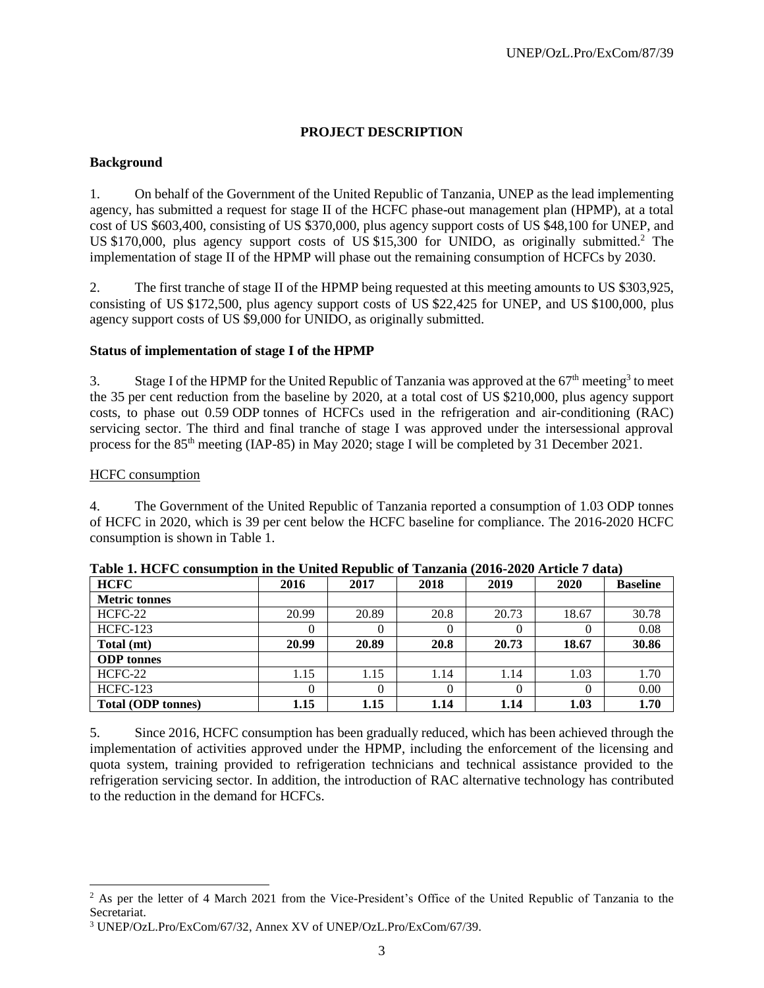# **PROJECT DESCRIPTION**

### **Background**

1. On behalf of the Government of the United Republic of Tanzania, UNEP as the lead implementing agency, has submitted a request for stage II of the HCFC phase-out management plan (HPMP), at a total cost of US \$603,400, consisting of US \$370,000, plus agency support costs of US \$48,100 for UNEP, and US \$170,000, plus agency support costs of US \$15,300 for UNIDO, as originally submitted.<sup>2</sup> The implementation of stage II of the HPMP will phase out the remaining consumption of HCFCs by 2030.

2. The first tranche of stage II of the HPMP being requested at this meeting amounts to US \$303,925, consisting of US \$172,500, plus agency support costs of US \$22,425 for UNEP, and US \$100,000, plus agency support costs of US \$9,000 for UNIDO, as originally submitted.

# **Status of implementation of stage I of the HPMP**

3. Stage I of the HPMP for the United Republic of Tanzania was approved at the 67<sup>th</sup> meeting<sup>3</sup> to meet the 35 per cent reduction from the baseline by 2020, at a total cost of US \$210,000, plus agency support costs, to phase out 0.59 ODP tonnes of HCFCs used in the refrigeration and air-conditioning (RAC) servicing sector. The third and final tranche of stage I was approved under the intersessional approval process for the 85<sup>th</sup> meeting (IAP-85) in May 2020; stage I will be completed by 31 December 2021.

### HCFC consumption

l

4. The Government of the United Republic of Tanzania reported a consumption of 1.03 ODP tonnes of HCFC in 2020, which is 39 per cent below the HCFC baseline for compliance. The 2016-2020 HCFC consumption is shown in Table 1.

| <b>HCFC</b>               | 2016  | 2017  | 2018 | 2019  | 2020     | <b>Baseline</b> |
|---------------------------|-------|-------|------|-------|----------|-----------------|
| <b>Metric tonnes</b>      |       |       |      |       |          |                 |
| HCFC-22                   | 20.99 | 20.89 | 20.8 | 20.73 | 18.67    | 30.78           |
| <b>HCFC-123</b>           | U     |       | 0    |       |          | 0.08            |
| Total (mt)                | 20.99 | 20.89 | 20.8 | 20.73 | 18.67    | 30.86           |
| <b>ODP</b> tonnes         |       |       |      |       |          |                 |
| $HCFC-22$                 | 1.15  | 1.15  | 1.14 | 1.14  | 1.03     | 1.70            |
| <b>HCFC-123</b>           | 0     |       | 0    |       | $\theta$ | 0.00            |
| <b>Total (ODP tonnes)</b> | 1.15  | 1.15  | 1.14 | 1.14  | 1.03     | 1.70            |

| Table 1. HCFC consumption in the United Republic of Tanzania (2016-2020 Article 7 data) |  |  |  |
|-----------------------------------------------------------------------------------------|--|--|--|
| _______                                                                                 |  |  |  |

5. Since 2016, HCFC consumption has been gradually reduced, which has been achieved through the implementation of activities approved under the HPMP, including the enforcement of the licensing and quota system, training provided to refrigeration technicians and technical assistance provided to the refrigeration servicing sector. In addition, the introduction of RAC alternative technology has contributed to the reduction in the demand for HCFCs.

<sup>&</sup>lt;sup>2</sup> As per the letter of 4 March 2021 from the Vice-President's Office of the United Republic of Tanzania to the Secretariat.

<sup>3</sup> UNEP/OzL.Pro/ExCom/67/32, Annex XV of UNEP/OzL.Pro/ExCom/67/39.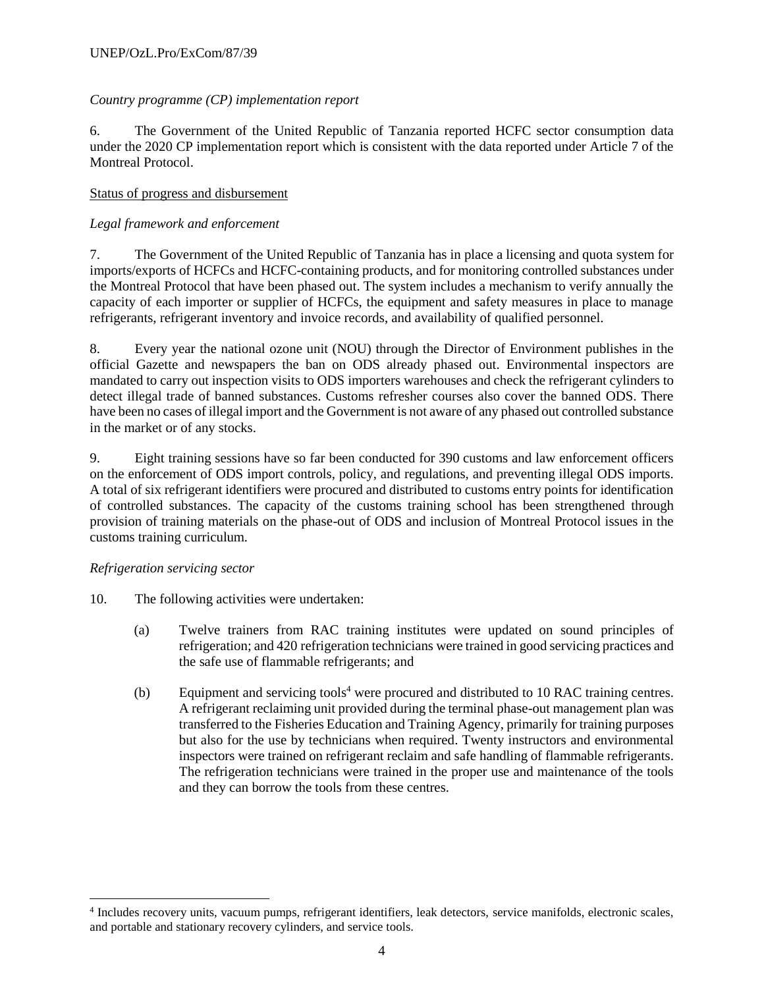# *Country programme (CP) implementation report*

6. The Government of the United Republic of Tanzania reported HCFC sector consumption data under the 2020 CP implementation report which is consistent with the data reported under Article 7 of the Montreal Protocol.

# Status of progress and disbursement

# *Legal framework and enforcement*

7. The Government of the United Republic of Tanzania has in place a licensing and quota system for imports/exports of HCFCs and HCFC-containing products, and for monitoring controlled substances under the Montreal Protocol that have been phased out. The system includes a mechanism to verify annually the capacity of each importer or supplier of HCFCs, the equipment and safety measures in place to manage refrigerants, refrigerant inventory and invoice records, and availability of qualified personnel.

8. Every year the national ozone unit (NOU) through the Director of Environment publishes in the official Gazette and newspapers the ban on ODS already phased out. Environmental inspectors are mandated to carry out inspection visits to ODS importers warehouses and check the refrigerant cylinders to detect illegal trade of banned substances. Customs refresher courses also cover the banned ODS. There have been no cases of illegal import and the Government is not aware of any phased out controlled substance in the market or of any stocks.

9. Eight training sessions have so far been conducted for 390 customs and law enforcement officers on the enforcement of ODS import controls, policy, and regulations, and preventing illegal ODS imports. A total of six refrigerant identifiers were procured and distributed to customs entry points for identification of controlled substances. The capacity of the customs training school has been strengthened through provision of training materials on the phase-out of ODS and inclusion of Montreal Protocol issues in the customs training curriculum.

### *Refrigeration servicing sector*

 $\overline{\phantom{a}}$ 

- 10. The following activities were undertaken:
	- (a) Twelve trainers from RAC training institutes were updated on sound principles of refrigeration; and 420 refrigeration technicians were trained in good servicing practices and the safe use of flammable refrigerants; and
	- (b) Equipment and servicing tools<sup>4</sup> were procured and distributed to 10 RAC training centres. A refrigerant reclaiming unit provided during the terminal phase-out management plan was transferred to the Fisheries Education and Training Agency, primarily for training purposes but also for the use by technicians when required. Twenty instructors and environmental inspectors were trained on refrigerant reclaim and safe handling of flammable refrigerants. The refrigeration technicians were trained in the proper use and maintenance of the tools and they can borrow the tools from these centres.

<sup>4</sup> Includes recovery units, vacuum pumps, refrigerant identifiers, leak detectors, service manifolds, electronic scales, and portable and stationary recovery cylinders, and service tools.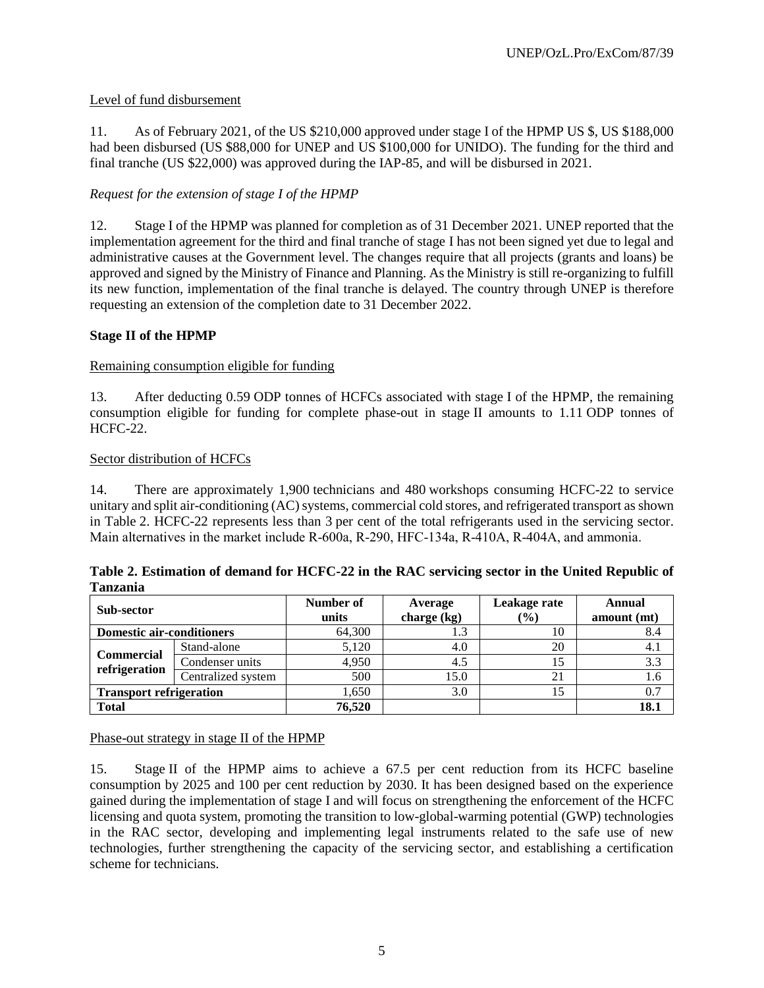# Level of fund disbursement

11. As of February 2021, of the US \$210,000 approved under stage I of the HPMP US \$, US \$188,000 had been disbursed (US \$88,000 for UNEP and US \$100,000 for UNIDO). The funding for the third and final tranche (US \$22,000) was approved during the IAP-85, and will be disbursed in 2021.

# *Request for the extension of stage I of the HPMP*

12. Stage I of the HPMP was planned for completion as of 31 December 2021. UNEP reported that the implementation agreement for the third and final tranche of stage I has not been signed yet due to legal and administrative causes at the Government level. The changes require that all projects (grants and loans) be approved and signed by the Ministry of Finance and Planning. As the Ministry is still re-organizing to fulfill its new function, implementation of the final tranche is delayed. The country through UNEP is therefore requesting an extension of the completion date to 31 December 2022.

# **Stage II of the HPMP**

### Remaining consumption eligible for funding

13. After deducting 0.59 ODP tonnes of HCFCs associated with stage I of the HPMP, the remaining consumption eligible for funding for complete phase-out in stage II amounts to 1.11 ODP tonnes of HCFC-22.

### Sector distribution of HCFCs

14. There are approximately 1,900 technicians and 480 workshops consuming HCFC-22 to service unitary and split air-conditioning (AC) systems, commercial cold stores, and refrigerated transport as shown in Table 2. HCFC-22 represents less than 3 per cent of the total refrigerants used in the servicing sector. Main alternatives in the market include R-600a, R-290, HFC-134a, R-410A, R-404A, and ammonia.

| Table 2. Estimation of demand for HCFC-22 in the RAC servicing sector in the United Republic of |  |  |
|-------------------------------------------------------------------------------------------------|--|--|
| <b>Tanzania</b>                                                                                 |  |  |

| Sub-sector                       |                    | Number of<br>units | Average<br>charge (kg) | Leakage rate<br>(%) | Annual<br>amount (mt) |
|----------------------------------|--------------------|--------------------|------------------------|---------------------|-----------------------|
| <b>Domestic air-conditioners</b> |                    | 64,300             |                        | 10                  | 8.4                   |
|                                  | Stand-alone        | 5,120              | 4.0                    | 20                  | 4.1                   |
| <b>Commercial</b>                | Condenser units    | 4,950              | 4.5                    | 15                  | 3.3                   |
| refrigeration                    | Centralized system | 500                | 15.0                   | 21                  | 1.6                   |
| <b>Transport refrigeration</b>   |                    | 1,650              | 3.0                    | 15                  | 0.7                   |
| <b>Total</b>                     |                    | 76,520             |                        |                     | 18.1                  |

Phase-out strategy in stage II of the HPMP

15. Stage II of the HPMP aims to achieve a 67.5 per cent reduction from its HCFC baseline consumption by 2025 and 100 per cent reduction by 2030. It has been designed based on the experience gained during the implementation of stage I and will focus on strengthening the enforcement of the HCFC licensing and quota system, promoting the transition to low-global-warming potential (GWP) technologies in the RAC sector, developing and implementing legal instruments related to the safe use of new technologies, further strengthening the capacity of the servicing sector, and establishing a certification scheme for technicians.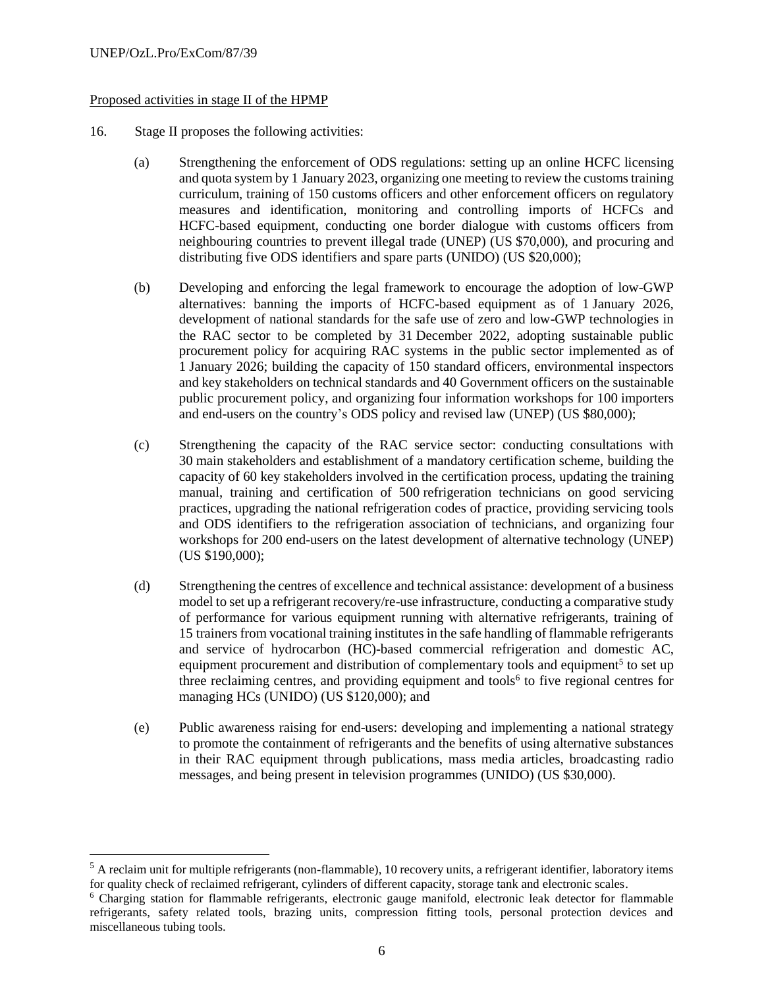$\overline{\phantom{a}}$ 

### Proposed activities in stage II of the HPMP

- 16. Stage II proposes the following activities:
	- (a) Strengthening the enforcement of ODS regulations: setting up an online HCFC licensing and quota system by 1 January 2023, organizing one meeting to review the customs training curriculum, training of 150 customs officers and other enforcement officers on regulatory measures and identification, monitoring and controlling imports of HCFCs and HCFC-based equipment, conducting one border dialogue with customs officers from neighbouring countries to prevent illegal trade (UNEP) (US \$70,000), and procuring and distributing five ODS identifiers and spare parts (UNIDO) (US \$20,000);
	- (b) Developing and enforcing the legal framework to encourage the adoption of low-GWP alternatives: banning the imports of HCFC-based equipment as of 1 January 2026, development of national standards for the safe use of zero and low-GWP technologies in the RAC sector to be completed by 31 December 2022, adopting sustainable public procurement policy for acquiring RAC systems in the public sector implemented as of 1 January 2026; building the capacity of 150 standard officers, environmental inspectors and key stakeholders on technical standards and 40 Government officers on the sustainable public procurement policy, and organizing four information workshops for 100 importers and end-users on the country's ODS policy and revised law (UNEP) (US \$80,000);
	- (c) Strengthening the capacity of the RAC service sector: conducting consultations with 30 main stakeholders and establishment of a mandatory certification scheme, building the capacity of 60 key stakeholders involved in the certification process, updating the training manual, training and certification of 500 refrigeration technicians on good servicing practices, upgrading the national refrigeration codes of practice, providing servicing tools and ODS identifiers to the refrigeration association of technicians, and organizing four workshops for 200 end-users on the latest development of alternative technology (UNEP) (US \$190,000);
	- (d) Strengthening the centres of excellence and technical assistance: development of a business model to set up a refrigerant recovery/re-use infrastructure, conducting a comparative study of performance for various equipment running with alternative refrigerants, training of 15 trainers from vocational training institutes in the safe handling of flammable refrigerants and service of hydrocarbon (HC)-based commercial refrigeration and domestic AC, equipment procurement and distribution of complementary tools and equipment<sup>5</sup> to set up three reclaiming centres, and providing equipment and tools<sup>6</sup> to five regional centres for managing HCs (UNIDO) (US \$120,000); and
	- (e) Public awareness raising for end-users: developing and implementing a national strategy to promote the containment of refrigerants and the benefits of using alternative substances in their RAC equipment through publications, mass media articles, broadcasting radio messages, and being present in television programmes (UNIDO) (US \$30,000).

<sup>&</sup>lt;sup>5</sup> A reclaim unit for multiple refrigerants (non-flammable), 10 recovery units, a refrigerant identifier, laboratory items for quality check of reclaimed refrigerant, cylinders of different capacity, storage tank and electronic scales.

<sup>6</sup> Charging station for flammable refrigerants, electronic gauge manifold, electronic leak detector for flammable refrigerants, safety related tools, brazing units, compression fitting tools, personal protection devices and miscellaneous tubing tools.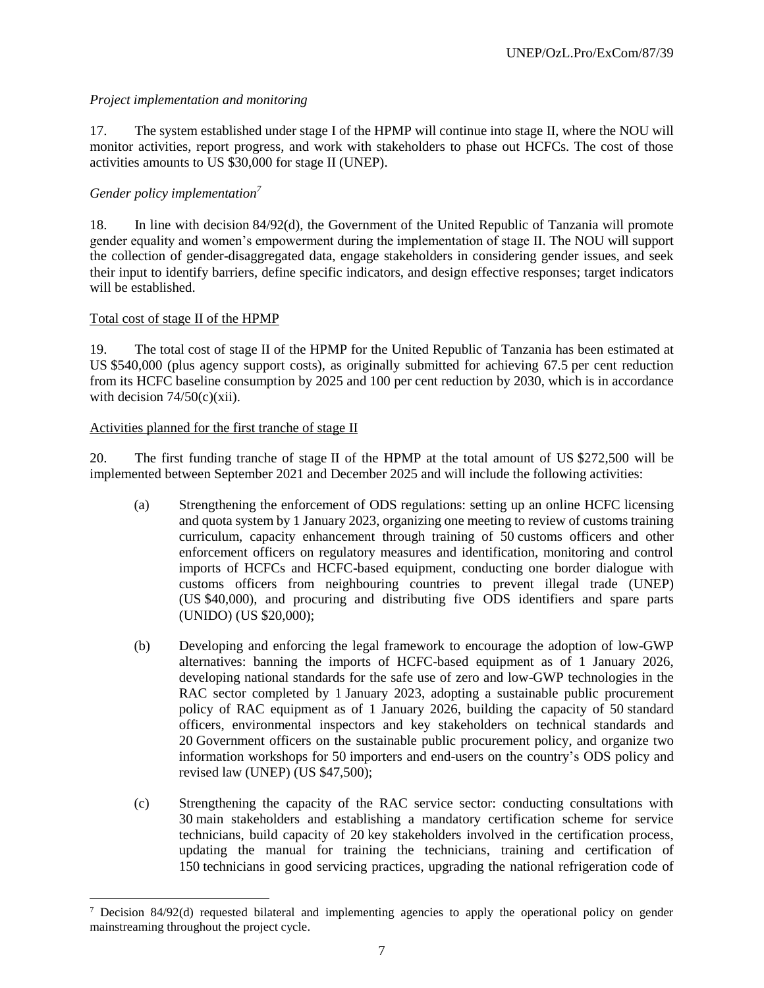# *Project implementation and monitoring*

17. The system established under stage I of the HPMP will continue into stage II, where the NOU will monitor activities, report progress, and work with stakeholders to phase out HCFCs. The cost of those activities amounts to US \$30,000 for stage II (UNEP).

# *Gender policy implementation<sup>7</sup>*

18. In line with decision 84/92(d), the Government of the United Republic of Tanzania will promote gender equality and women's empowerment during the implementation of stage II. The NOU will support the collection of gender-disaggregated data, engage stakeholders in considering gender issues, and seek their input to identify barriers, define specific indicators, and design effective responses; target indicators will be established.

### Total cost of stage II of the HPMP

 $\overline{\phantom{a}}$ 

19. The total cost of stage II of the HPMP for the United Republic of Tanzania has been estimated at US \$540,000 (plus agency support costs), as originally submitted for achieving 67.5 per cent reduction from its HCFC baseline consumption by 2025 and 100 per cent reduction by 2030, which is in accordance with decision  $74/50(c)(xii)$ .

### Activities planned for the first tranche of stage II

20. The first funding tranche of stage II of the HPMP at the total amount of US \$272,500 will be implemented between September 2021 and December 2025 and will include the following activities:

- (a) Strengthening the enforcement of ODS regulations: setting up an online HCFC licensing and quota system by 1 January 2023, organizing one meeting to review of customs training curriculum, capacity enhancement through training of 50 customs officers and other enforcement officers on regulatory measures and identification, monitoring and control imports of HCFCs and HCFC-based equipment, conducting one border dialogue with customs officers from neighbouring countries to prevent illegal trade (UNEP) (US \$40,000), and procuring and distributing five ODS identifiers and spare parts (UNIDO) (US \$20,000);
- (b) Developing and enforcing the legal framework to encourage the adoption of low-GWP alternatives: banning the imports of HCFC-based equipment as of 1 January 2026, developing national standards for the safe use of zero and low-GWP technologies in the RAC sector completed by 1 January 2023, adopting a sustainable public procurement policy of RAC equipment as of 1 January 2026, building the capacity of 50 standard officers, environmental inspectors and key stakeholders on technical standards and 20 Government officers on the sustainable public procurement policy, and organize two information workshops for 50 importers and end-users on the country's ODS policy and revised law (UNEP) (US \$47,500);
- (c) Strengthening the capacity of the RAC service sector: conducting consultations with 30 main stakeholders and establishing a mandatory certification scheme for service technicians, build capacity of 20 key stakeholders involved in the certification process, updating the manual for training the technicians, training and certification of 150 technicians in good servicing practices, upgrading the national refrigeration code of

 $7$  Decision 84/92(d) requested bilateral and implementing agencies to apply the operational policy on gender mainstreaming throughout the project cycle.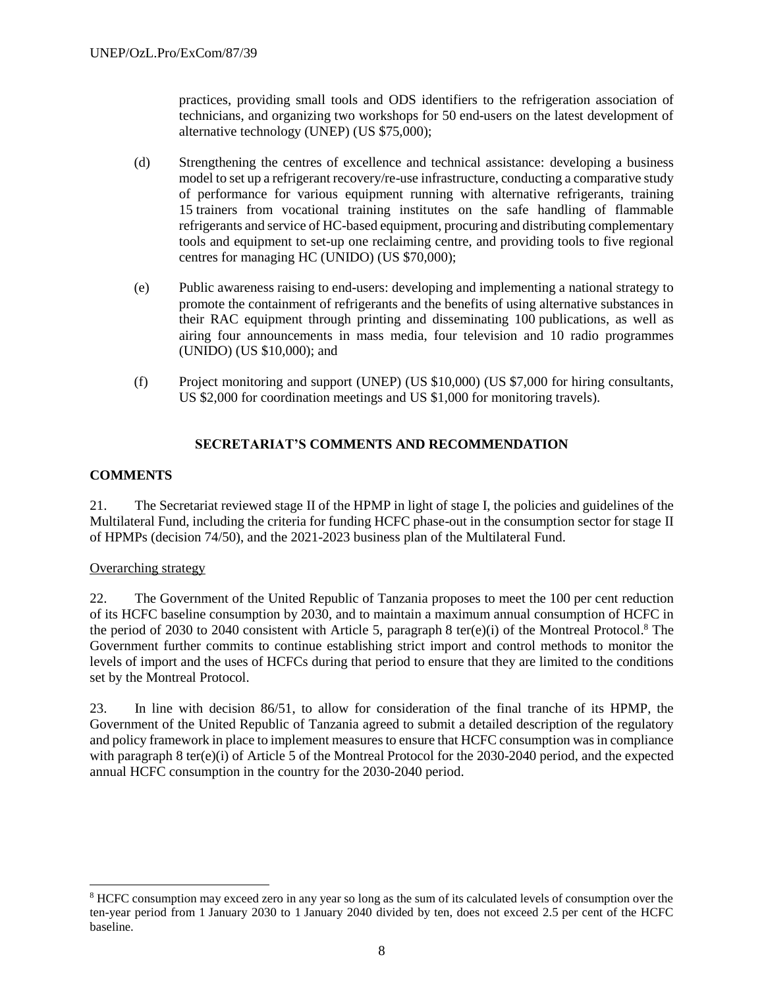practices, providing small tools and ODS identifiers to the refrigeration association of technicians, and organizing two workshops for 50 end-users on the latest development of alternative technology (UNEP) (US \$75,000);

- (d) Strengthening the centres of excellence and technical assistance: developing a business model to set up a refrigerant recovery/re-use infrastructure, conducting a comparative study of performance for various equipment running with alternative refrigerants, training 15 trainers from vocational training institutes on the safe handling of flammable refrigerants and service of HC-based equipment, procuring and distributing complementary tools and equipment to set-up one reclaiming centre, and providing tools to five regional centres for managing HC (UNIDO) (US \$70,000);
- (e) Public awareness raising to end-users: developing and implementing a national strategy to promote the containment of refrigerants and the benefits of using alternative substances in their RAC equipment through printing and disseminating 100 publications, as well as airing four announcements in mass media, four television and 10 radio programmes (UNIDO) (US \$10,000); and
- (f) Project monitoring and support (UNEP) (US \$10,000) (US \$7,000 for hiring consultants, US \$2,000 for coordination meetings and US \$1,000 for monitoring travels).

# **SECRETARIAT'S COMMENTS AND RECOMMENDATION**

# **COMMENTS**

21. The Secretariat reviewed stage II of the HPMP in light of stage I, the policies and guidelines of the Multilateral Fund, including the criteria for funding HCFC phase-out in the consumption sector for stage II of HPMPs (decision 74/50), and the 2021-2023 business plan of the Multilateral Fund.

# Overarching strategy

l

22. The Government of the United Republic of Tanzania proposes to meet the 100 per cent reduction of its HCFC baseline consumption by 2030, and to maintain a maximum annual consumption of HCFC in the period of 2030 to 2040 consistent with Article 5, paragraph 8 ter(e)(i) of the Montreal Protocol. <sup>8</sup> The Government further commits to continue establishing strict import and control methods to monitor the levels of import and the uses of HCFCs during that period to ensure that they are limited to the conditions set by the Montreal Protocol.

23. In line with decision 86/51, to allow for consideration of the final tranche of its HPMP, the Government of the United Republic of Tanzania agreed to submit a detailed description of the regulatory and policy framework in place to implement measures to ensure that HCFC consumption was in compliance with paragraph 8 ter(e)(i) of Article 5 of the Montreal Protocol for the 2030-2040 period, and the expected annual HCFC consumption in the country for the 2030-2040 period.

<sup>8</sup> HCFC consumption may exceed zero in any year so long as the sum of its calculated levels of consumption over the ten-year period from 1 January 2030 to 1 January 2040 divided by ten, does not exceed 2.5 per cent of the HCFC baseline.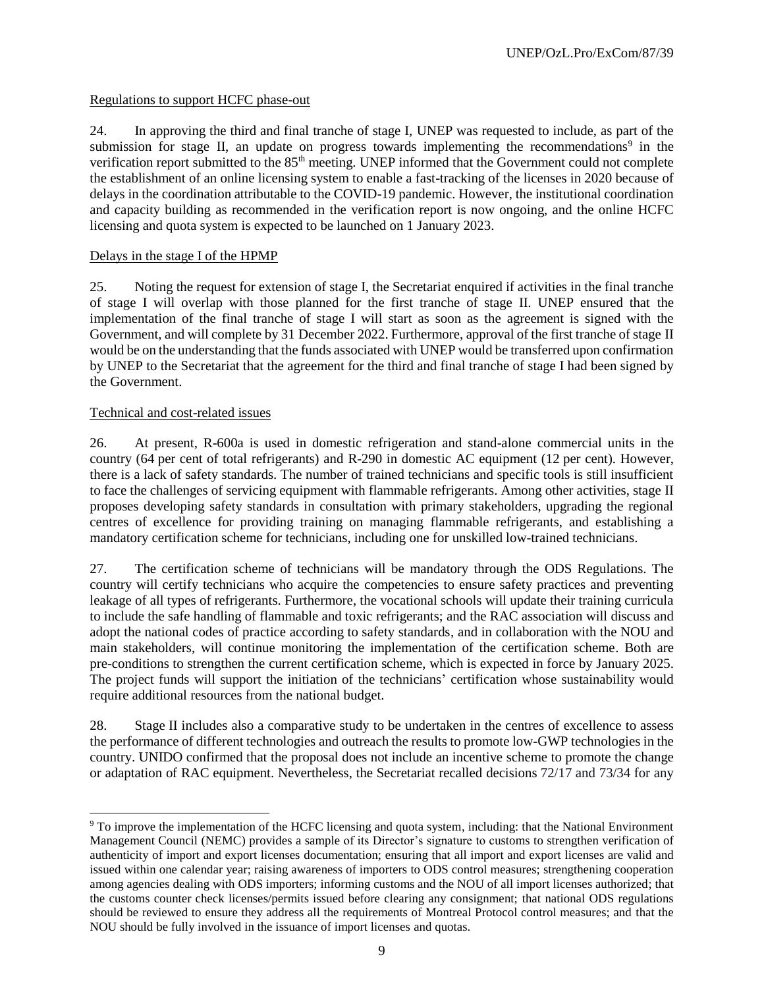# Regulations to support HCFC phase-out

24. In approving the third and final tranche of stage I, UNEP was requested to include, as part of the submission for stage II, an update on progress towards implementing the recommendations<sup>9</sup> in the verification report submitted to the 85<sup>th</sup> meeting. UNEP informed that the Government could not complete the establishment of an online licensing system to enable a fast-tracking of the licenses in 2020 because of delays in the coordination attributable to the COVID-19 pandemic. However, the institutional coordination and capacity building as recommended in the verification report is now ongoing, and the online HCFC licensing and quota system is expected to be launched on 1 January 2023.

# Delays in the stage I of the HPMP

25. Noting the request for extension of stage I, the Secretariat enquired if activities in the final tranche of stage I will overlap with those planned for the first tranche of stage II. UNEP ensured that the implementation of the final tranche of stage I will start as soon as the agreement is signed with the Government, and will complete by 31 December 2022. Furthermore, approval of the first tranche of stage II would be on the understanding that the funds associated with UNEP would be transferred upon confirmation by UNEP to the Secretariat that the agreement for the third and final tranche of stage I had been signed by the Government.

### Technical and cost-related issues

 $\overline{\phantom{a}}$ 

26. At present, R-600a is used in domestic refrigeration and stand-alone commercial units in the country (64 per cent of total refrigerants) and R-290 in domestic AC equipment (12 per cent). However, there is a lack of safety standards. The number of trained technicians and specific tools is still insufficient to face the challenges of servicing equipment with flammable refrigerants. Among other activities, stage II proposes developing safety standards in consultation with primary stakeholders, upgrading the regional centres of excellence for providing training on managing flammable refrigerants, and establishing a mandatory certification scheme for technicians, including one for unskilled low-trained technicians.

27. The certification scheme of technicians will be mandatory through the ODS Regulations. The country will certify technicians who acquire the competencies to ensure safety practices and preventing leakage of all types of refrigerants. Furthermore, the vocational schools will update their training curricula to include the safe handling of flammable and toxic refrigerants; and the RAC association will discuss and adopt the national codes of practice according to safety standards, and in collaboration with the NOU and main stakeholders, will continue monitoring the implementation of the certification scheme. Both are pre-conditions to strengthen the current certification scheme, which is expected in force by January 2025. The project funds will support the initiation of the technicians' certification whose sustainability would require additional resources from the national budget.

28. Stage II includes also a comparative study to be undertaken in the centres of excellence to assess the performance of different technologies and outreach the results to promote low-GWP technologies in the country. UNIDO confirmed that the proposal does not include an incentive scheme to promote the change or adaptation of RAC equipment. Nevertheless, the Secretariat recalled decisions 72/17 and 73/34 for any

<sup>&</sup>lt;sup>9</sup> To improve the implementation of the HCFC licensing and quota system, including: that the National Environment Management Council (NEMC) provides a sample of its Director's signature to customs to strengthen verification of authenticity of import and export licenses documentation; ensuring that all import and export licenses are valid and issued within one calendar year; raising awareness of importers to ODS control measures; strengthening cooperation among agencies dealing with ODS importers; informing customs and the NOU of all import licenses authorized; that the customs counter check licenses/permits issued before clearing any consignment; that national ODS regulations should be reviewed to ensure they address all the requirements of Montreal Protocol control measures; and that the NOU should be fully involved in the issuance of import licenses and quotas.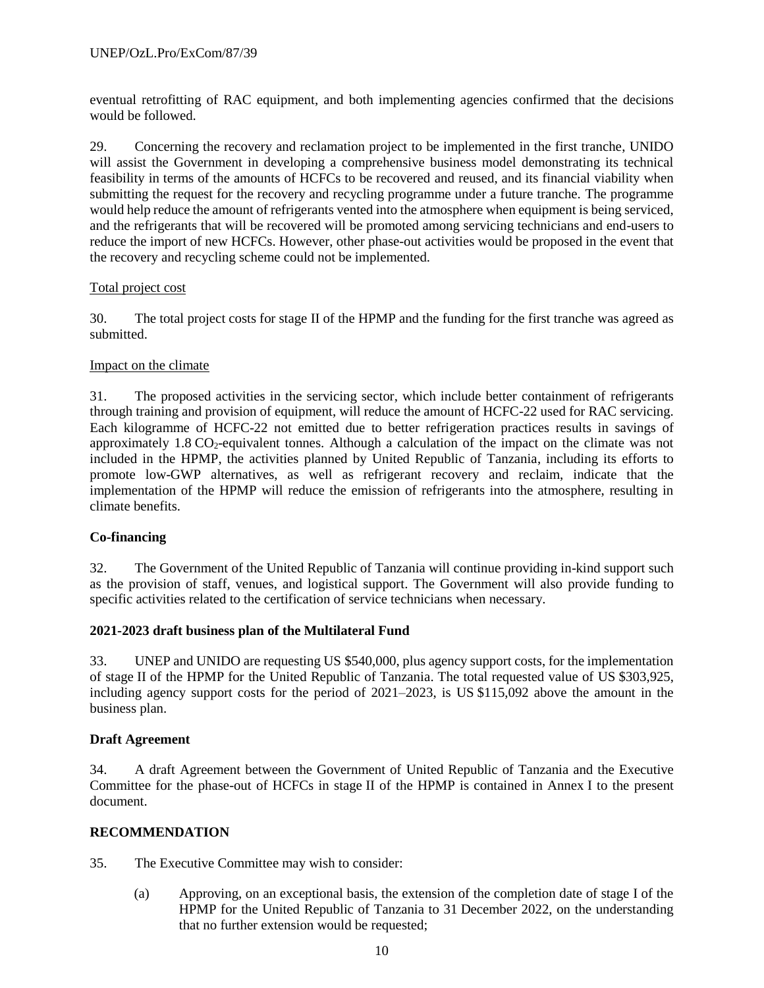eventual retrofitting of RAC equipment, and both implementing agencies confirmed that the decisions would be followed.

29. Concerning the recovery and reclamation project to be implemented in the first tranche, UNIDO will assist the Government in developing a comprehensive business model demonstrating its technical feasibility in terms of the amounts of HCFCs to be recovered and reused, and its financial viability when submitting the request for the recovery and recycling programme under a future tranche. The programme would help reduce the amount of refrigerants vented into the atmosphere when equipment is being serviced, and the refrigerants that will be recovered will be promoted among servicing technicians and end-users to reduce the import of new HCFCs. However, other phase-out activities would be proposed in the event that the recovery and recycling scheme could not be implemented.

# Total project cost

30. The total project costs for stage II of the HPMP and the funding for the first tranche was agreed as submitted.

### Impact on the climate

31. The proposed activities in the servicing sector, which include better containment of refrigerants through training and provision of equipment, will reduce the amount of HCFC-22 used for RAC servicing. Each kilogramme of HCFC-22 not emitted due to better refrigeration practices results in savings of approximately  $1.8 \text{ CO}_2$ -equivalent tonnes. Although a calculation of the impact on the climate was not included in the HPMP, the activities planned by United Republic of Tanzania, including its efforts to promote low-GWP alternatives, as well as refrigerant recovery and reclaim, indicate that the implementation of the HPMP will reduce the emission of refrigerants into the atmosphere, resulting in climate benefits.

# **Co-financing**

32. The Government of the United Republic of Tanzania will continue providing in-kind support such as the provision of staff, venues, and logistical support. The Government will also provide funding to specific activities related to the certification of service technicians when necessary.

### **2021-2023 draft business plan of the Multilateral Fund**

33. UNEP and UNIDO are requesting US \$540,000, plus agency support costs, for the implementation of stage II of the HPMP for the United Republic of Tanzania. The total requested value of US \$303,925, including agency support costs for the period of 2021–2023, is US \$115,092 above the amount in the business plan.

### **Draft Agreement**

34. A draft Agreement between the Government of United Republic of Tanzania and the Executive Committee for the phase-out of HCFCs in stage II of the HPMP is contained in Annex I to the present document.

### **RECOMMENDATION**

35. The Executive Committee may wish to consider:

(a) Approving, on an exceptional basis, the extension of the completion date of stage I of the HPMP for the United Republic of Tanzania to 31 December 2022, on the understanding that no further extension would be requested;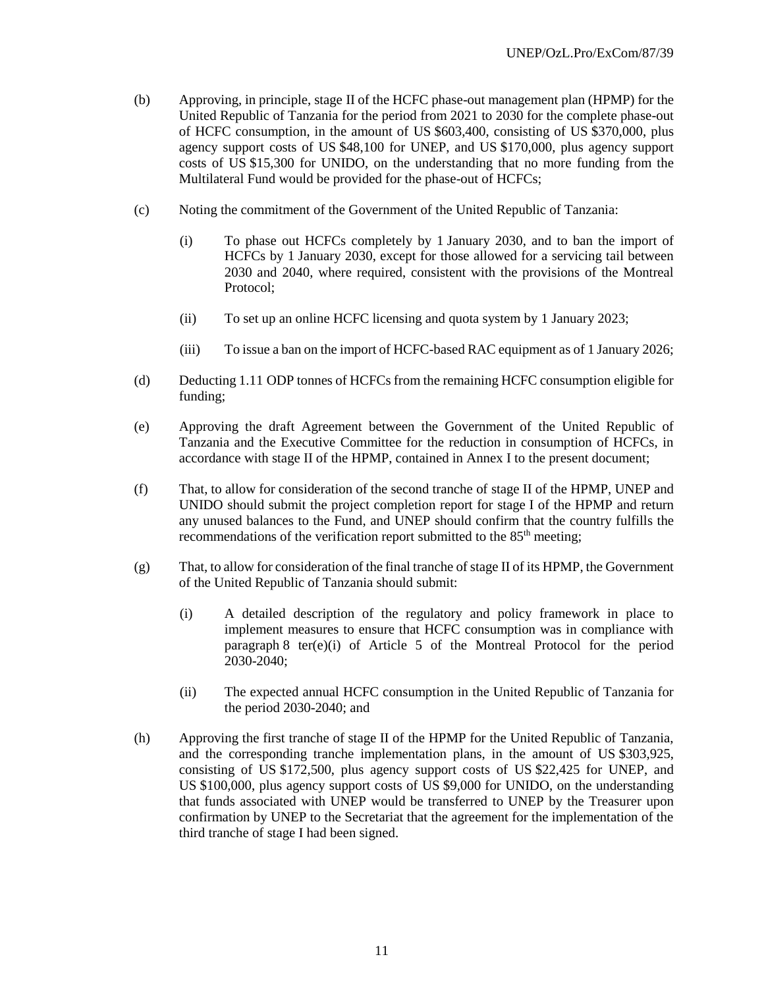- (b) Approving, in principle, stage II of the HCFC phase-out management plan (HPMP) for the United Republic of Tanzania for the period from 2021 to 2030 for the complete phase-out of HCFC consumption, in the amount of US \$603,400, consisting of US \$370,000, plus agency support costs of US \$48,100 for UNEP, and US \$170,000, plus agency support costs of US \$15,300 for UNIDO, on the understanding that no more funding from the Multilateral Fund would be provided for the phase-out of HCFCs;
- (c) Noting the commitment of the Government of the United Republic of Tanzania:
	- (i) To phase out HCFCs completely by 1 January 2030, and to ban the import of HCFCs by 1 January 2030, except for those allowed for a servicing tail between 2030 and 2040, where required, consistent with the provisions of the Montreal Protocol;
	- (ii) To set up an online HCFC licensing and quota system by 1 January 2023;
	- (iii) To issue a ban on the import of HCFC-based RAC equipment as of 1 January 2026;
- (d) Deducting 1.11 ODP tonnes of HCFCs from the remaining HCFC consumption eligible for funding;
- (e) Approving the draft Agreement between the Government of the United Republic of Tanzania and the Executive Committee for the reduction in consumption of HCFCs, in accordance with stage II of the HPMP, contained in Annex I to the present document;
- (f) That, to allow for consideration of the second tranche of stage II of the HPMP, UNEP and UNIDO should submit the project completion report for stage I of the HPMP and return any unused balances to the Fund, and UNEP should confirm that the country fulfills the recommendations of the verification report submitted to the  $85<sup>th</sup>$  meeting;
- (g) That, to allow for consideration of the final tranche of stage II of its HPMP, the Government of the United Republic of Tanzania should submit:
	- (i) A detailed description of the regulatory and policy framework in place to implement measures to ensure that HCFC consumption was in compliance with paragraph 8 ter(e)(i) of Article 5 of the Montreal Protocol for the period 2030-2040;
	- (ii) The expected annual HCFC consumption in the United Republic of Tanzania for the period 2030-2040; and
- (h) Approving the first tranche of stage II of the HPMP for the United Republic of Tanzania, and the corresponding tranche implementation plans, in the amount of US \$303,925, consisting of US \$172,500, plus agency support costs of US \$22,425 for UNEP, and US \$100,000, plus agency support costs of US \$9,000 for UNIDO, on the understanding that funds associated with UNEP would be transferred to UNEP by the Treasurer upon confirmation by UNEP to the Secretariat that the agreement for the implementation of the third tranche of stage I had been signed.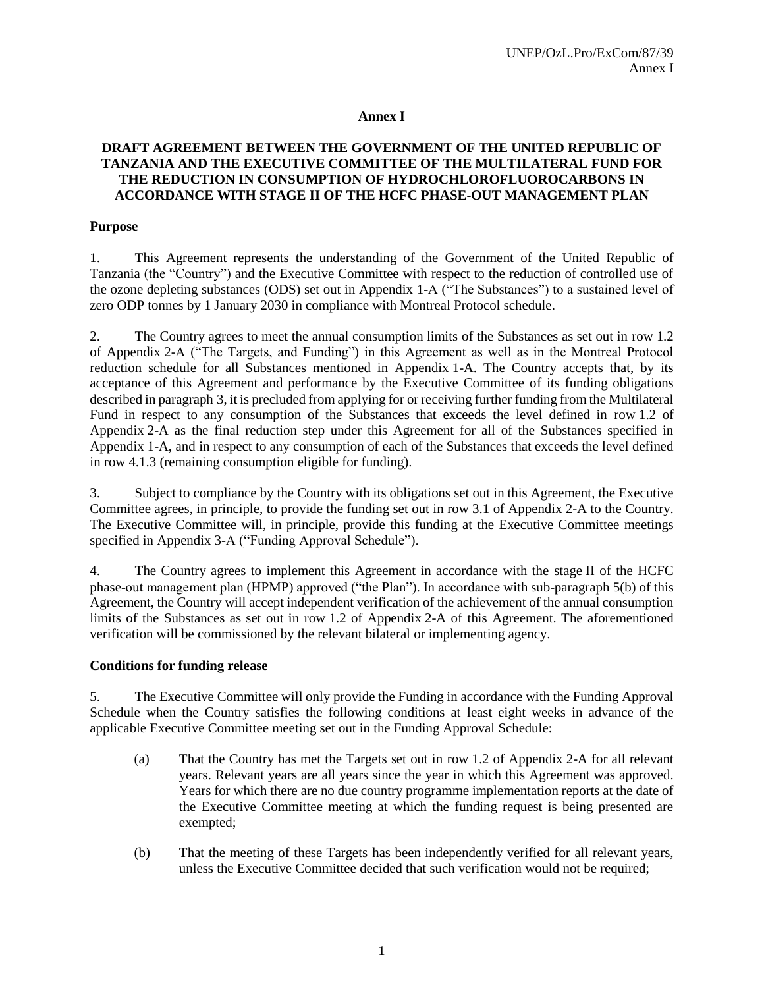# **Annex I**

### **DRAFT AGREEMENT BETWEEN THE GOVERNMENT OF THE UNITED REPUBLIC OF TANZANIA AND THE EXECUTIVE COMMITTEE OF THE MULTILATERAL FUND FOR THE REDUCTION IN CONSUMPTION OF HYDROCHLOROFLUOROCARBONS IN ACCORDANCE WITH STAGE II OF THE HCFC PHASE-OUT MANAGEMENT PLAN**

### **Purpose**

1. This Agreement represents the understanding of the Government of the United Republic of Tanzania (the "Country") and the Executive Committee with respect to the reduction of controlled use of the ozone depleting substances (ODS) set out in Appendix 1-A ("The Substances") to a sustained level of zero ODP tonnes by 1 January 2030 in compliance with Montreal Protocol schedule.

2. The Country agrees to meet the annual consumption limits of the Substances as set out in row 1.2 of Appendix 2-A ("The Targets, and Funding") in this Agreement as well as in the Montreal Protocol reduction schedule for all Substances mentioned in Appendix 1-A. The Country accepts that, by its acceptance of this Agreement and performance by the Executive Committee of its funding obligations described in paragraph 3, it is precluded from applying for or receiving further funding from the Multilateral Fund in respect to any consumption of the Substances that exceeds the level defined in row 1.2 of Appendix 2-A as the final reduction step under this Agreement for all of the Substances specified in Appendix 1-A, and in respect to any consumption of each of the Substances that exceeds the level defined in row 4.1.3 (remaining consumption eligible for funding).

3. Subject to compliance by the Country with its obligations set out in this Agreement, the Executive Committee agrees, in principle, to provide the funding set out in row 3.1 of Appendix 2-A to the Country. The Executive Committee will, in principle, provide this funding at the Executive Committee meetings specified in Appendix 3-A ("Funding Approval Schedule").

4. The Country agrees to implement this Agreement in accordance with the stage II of the HCFC phase-out management plan (HPMP) approved ("the Plan"). In accordance with sub-paragraph 5(b) of this Agreement, the Country will accept independent verification of the achievement of the annual consumption limits of the Substances as set out in row 1.2 of Appendix 2-A of this Agreement. The aforementioned verification will be commissioned by the relevant bilateral or implementing agency.

### **Conditions for funding release**

5. The Executive Committee will only provide the Funding in accordance with the Funding Approval Schedule when the Country satisfies the following conditions at least eight weeks in advance of the applicable Executive Committee meeting set out in the Funding Approval Schedule:

- (a) That the Country has met the Targets set out in row 1.2 of Appendix 2-A for all relevant years. Relevant years are all years since the year in which this Agreement was approved. Years for which there are no due country programme implementation reports at the date of the Executive Committee meeting at which the funding request is being presented are exempted;
- (b) That the meeting of these Targets has been independently verified for all relevant years, unless the Executive Committee decided that such verification would not be required;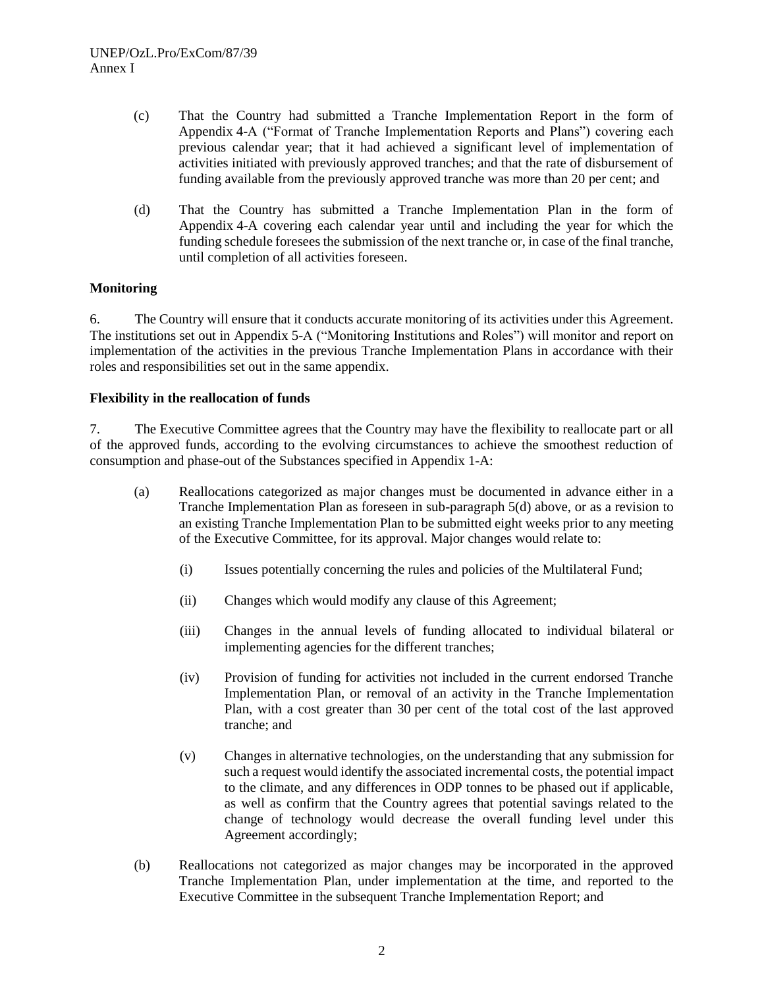- (c) That the Country had submitted a Tranche Implementation Report in the form of Appendix 4-A ("Format of Tranche Implementation Reports and Plans") covering each previous calendar year; that it had achieved a significant level of implementation of activities initiated with previously approved tranches; and that the rate of disbursement of funding available from the previously approved tranche was more than 20 per cent; and
- (d) That the Country has submitted a Tranche Implementation Plan in the form of Appendix 4-A covering each calendar year until and including the year for which the funding schedule foresees the submission of the next tranche or, in case of the final tranche, until completion of all activities foreseen.

# **Monitoring**

6. The Country will ensure that it conducts accurate monitoring of its activities under this Agreement. The institutions set out in Appendix 5-A ("Monitoring Institutions and Roles") will monitor and report on implementation of the activities in the previous Tranche Implementation Plans in accordance with their roles and responsibilities set out in the same appendix.

# **Flexibility in the reallocation of funds**

7. The Executive Committee agrees that the Country may have the flexibility to reallocate part or all of the approved funds, according to the evolving circumstances to achieve the smoothest reduction of consumption and phase-out of the Substances specified in Appendix 1-A:

- (a) Reallocations categorized as major changes must be documented in advance either in a Tranche Implementation Plan as foreseen in sub-paragraph 5(d) above, or as a revision to an existing Tranche Implementation Plan to be submitted eight weeks prior to any meeting of the Executive Committee, for its approval. Major changes would relate to:
	- (i) Issues potentially concerning the rules and policies of the Multilateral Fund;
	- (ii) Changes which would modify any clause of this Agreement;
	- (iii) Changes in the annual levels of funding allocated to individual bilateral or implementing agencies for the different tranches;
	- (iv) Provision of funding for activities not included in the current endorsed Tranche Implementation Plan, or removal of an activity in the Tranche Implementation Plan, with a cost greater than 30 per cent of the total cost of the last approved tranche; and
	- (v) Changes in alternative technologies, on the understanding that any submission for such a request would identify the associated incremental costs, the potential impact to the climate, and any differences in ODP tonnes to be phased out if applicable, as well as confirm that the Country agrees that potential savings related to the change of technology would decrease the overall funding level under this Agreement accordingly;
- (b) Reallocations not categorized as major changes may be incorporated in the approved Tranche Implementation Plan, under implementation at the time, and reported to the Executive Committee in the subsequent Tranche Implementation Report; and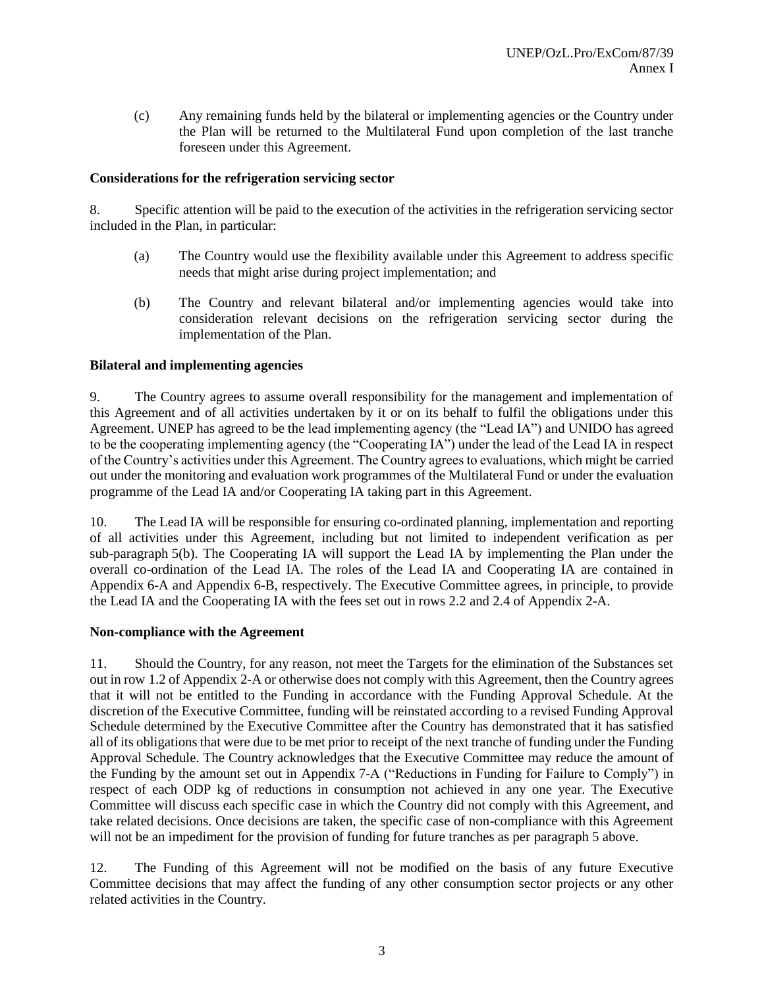(c) Any remaining funds held by the bilateral or implementing agencies or the Country under the Plan will be returned to the Multilateral Fund upon completion of the last tranche foreseen under this Agreement.

# **Considerations for the refrigeration servicing sector**

8. Specific attention will be paid to the execution of the activities in the refrigeration servicing sector included in the Plan, in particular:

- (a) The Country would use the flexibility available under this Agreement to address specific needs that might arise during project implementation; and
- (b) The Country and relevant bilateral and/or implementing agencies would take into consideration relevant decisions on the refrigeration servicing sector during the implementation of the Plan.

### **Bilateral and implementing agencies**

9. The Country agrees to assume overall responsibility for the management and implementation of this Agreement and of all activities undertaken by it or on its behalf to fulfil the obligations under this Agreement. UNEP has agreed to be the lead implementing agency (the "Lead IA") and UNIDO has agreed to be the cooperating implementing agency (the "Cooperating IA") under the lead of the Lead IA in respect of the Country's activities under this Agreement. The Country agrees to evaluations, which might be carried out under the monitoring and evaluation work programmes of the Multilateral Fund or under the evaluation programme of the Lead IA and/or Cooperating IA taking part in this Agreement.

10. The Lead IA will be responsible for ensuring co-ordinated planning, implementation and reporting of all activities under this Agreement, including but not limited to independent verification as per sub-paragraph 5(b). The Cooperating IA will support the Lead IA by implementing the Plan under the overall co-ordination of the Lead IA. The roles of the Lead IA and Cooperating IA are contained in Appendix 6-A and Appendix 6-B, respectively. The Executive Committee agrees, in principle, to provide the Lead IA and the Cooperating IA with the fees set out in rows 2.2 and 2.4 of Appendix 2-A.

### **Non-compliance with the Agreement**

11. Should the Country, for any reason, not meet the Targets for the elimination of the Substances set out in row 1.2 of Appendix 2-A or otherwise does not comply with this Agreement, then the Country agrees that it will not be entitled to the Funding in accordance with the Funding Approval Schedule. At the discretion of the Executive Committee, funding will be reinstated according to a revised Funding Approval Schedule determined by the Executive Committee after the Country has demonstrated that it has satisfied all of its obligations that were due to be met prior to receipt of the next tranche of funding under the Funding Approval Schedule. The Country acknowledges that the Executive Committee may reduce the amount of the Funding by the amount set out in Appendix 7-A ("Reductions in Funding for Failure to Comply") in respect of each ODP kg of reductions in consumption not achieved in any one year. The Executive Committee will discuss each specific case in which the Country did not comply with this Agreement, and take related decisions. Once decisions are taken, the specific case of non-compliance with this Agreement will not be an impediment for the provision of funding for future tranches as per paragraph 5 above.

12. The Funding of this Agreement will not be modified on the basis of any future Executive Committee decisions that may affect the funding of any other consumption sector projects or any other related activities in the Country.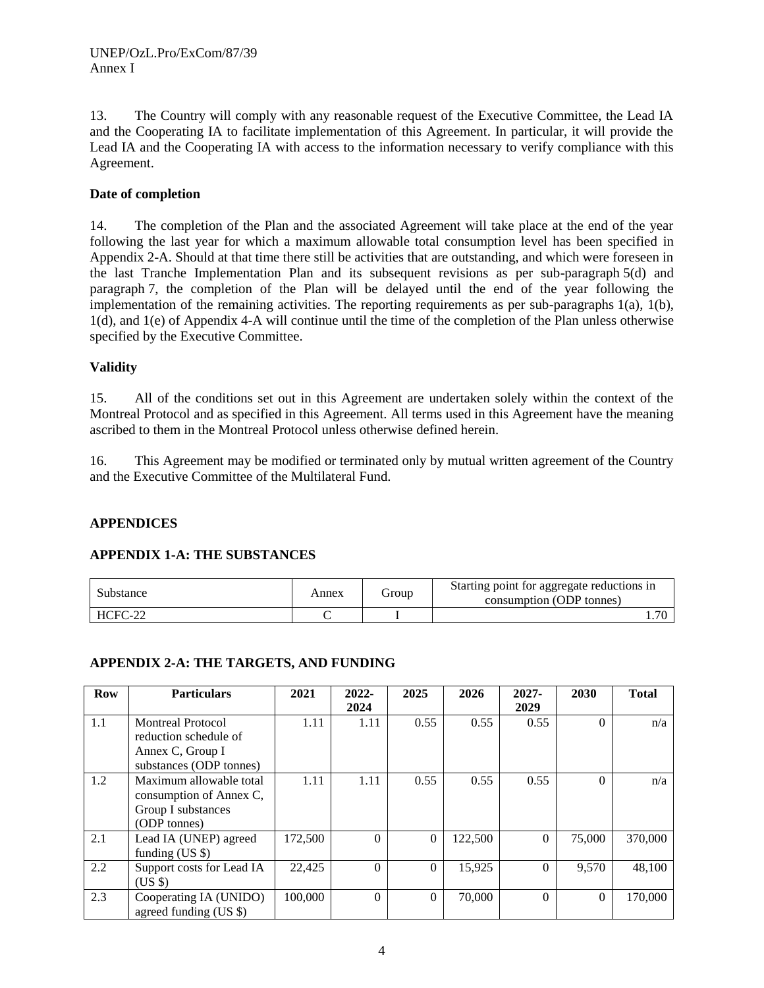13. The Country will comply with any reasonable request of the Executive Committee, the Lead IA and the Cooperating IA to facilitate implementation of this Agreement. In particular, it will provide the Lead IA and the Cooperating IA with access to the information necessary to verify compliance with this Agreement.

### **Date of completion**

14. The completion of the Plan and the associated Agreement will take place at the end of the year following the last year for which a maximum allowable total consumption level has been specified in Appendix 2-A. Should at that time there still be activities that are outstanding, and which were foreseen in the last Tranche Implementation Plan and its subsequent revisions as per sub-paragraph 5(d) and paragraph 7, the completion of the Plan will be delayed until the end of the year following the implementation of the remaining activities. The reporting requirements as per sub-paragraphs 1(a), 1(b), 1(d), and 1(e) of Appendix 4-A will continue until the time of the completion of the Plan unless otherwise specified by the Executive Committee.

# **Validity**

15. All of the conditions set out in this Agreement are undertaken solely within the context of the Montreal Protocol and as specified in this Agreement. All terms used in this Agreement have the meaning ascribed to them in the Montreal Protocol unless otherwise defined herein.

16. This Agreement may be modified or terminated only by mutual written agreement of the Country and the Executive Committee of the Multilateral Fund.

### **APPENDICES**

### **APPENDIX 1-A: THE SUBSTANCES**

| Substance | Annex | Group | Starting point for aggregate reductions in<br>consumption (ODP tonnes) |
|-----------|-------|-------|------------------------------------------------------------------------|
| HCFC-22   |       |       | 70                                                                     |

### **APPENDIX 2-A: THE TARGETS, AND FUNDING**

| <b>Row</b> | <b>Particulars</b>                                                                               | 2021    | $2022 -$<br>2024 | 2025     | 2026    | $2027 -$<br>2029 | 2030     | <b>Total</b> |
|------------|--------------------------------------------------------------------------------------------------|---------|------------------|----------|---------|------------------|----------|--------------|
| 1.1        | <b>Montreal Protocol</b><br>reduction schedule of<br>Annex C, Group I<br>substances (ODP tonnes) | 1.11    | 1.11             | 0.55     | 0.55    | 0.55             | $\Omega$ | n/a          |
| 1.2        | Maximum allowable total<br>consumption of Annex C,<br>Group I substances<br>(ODP tonnes)         | 1.11    | 1.11             | 0.55     | 0.55    | 0.55             | $\Omega$ | n/a          |
| 2.1        | Lead IA (UNEP) agreed<br>funding $(US \$                                                         | 172,500 | $\Omega$         | $\Omega$ | 122,500 | $\Omega$         | 75,000   | 370,000      |
| 2.2        | Support costs for Lead IA<br>(US \$)                                                             | 22,425  | $\Omega$         | $\Omega$ | 15,925  | $\Omega$         | 9,570    | 48,100       |
| 2.3        | Cooperating IA (UNIDO)<br>agreed funding $(US \$                                                 | 100,000 | $\Omega$         | $\Omega$ | 70,000  | $\Omega$         | $\Omega$ | 170,000      |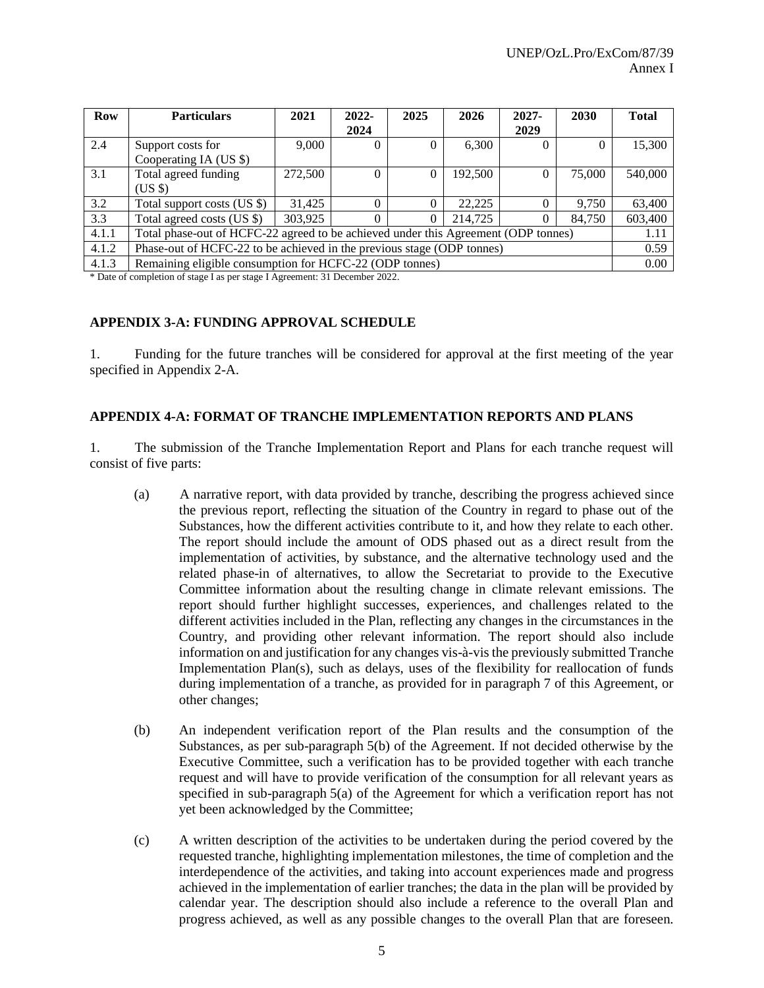| Row   | <b>Particulars</b>                                                                 | 2021    | $2022 -$ | 2025     | 2026    | $2027 -$ | 2030   | <b>Total</b> |
|-------|------------------------------------------------------------------------------------|---------|----------|----------|---------|----------|--------|--------------|
|       |                                                                                    |         | 2024     |          |         | 2029     |        |              |
| 2.4   | Support costs for                                                                  | 9,000   |          | 0        | 6,300   | $\Omega$ |        | 15,300       |
|       | Cooperating IA (US \$)                                                             |         |          |          |         |          |        |              |
| 3.1   | Total agreed funding                                                               | 272,500 | 0        | 0        | 192,500 | $\Omega$ | 75,000 | 540,000      |
|       | (US \$)                                                                            |         |          |          |         |          |        |              |
| 3.2   | Total support costs (US \$)                                                        | 31,425  |          | 0        | 22,225  | $\Omega$ | 9.750  | 63,400       |
| 3.3   | Total agreed costs (US \$)                                                         | 303,925 |          | $\Omega$ | 214,725 | 0        | 84,750 | 603,400      |
| 4.1.1 | Total phase-out of HCFC-22 agreed to be achieved under this Agreement (ODP tonnes) |         |          |          |         |          |        | 1.11         |
| 4.1.2 | Phase-out of HCFC-22 to be achieved in the previous stage (ODP tonnes)             |         |          |          |         |          |        | 0.59         |
| 4.1.3 | Remaining eligible consumption for HCFC-22 (ODP tonnes)                            |         |          |          |         |          |        | 0.00         |

\* Date of completion of stage I as per stage I Agreement: 31 December 2022.

### **APPENDIX 3-A: FUNDING APPROVAL SCHEDULE**

1. Funding for the future tranches will be considered for approval at the first meeting of the year specified in Appendix 2-A.

#### **APPENDIX 4-A: FORMAT OF TRANCHE IMPLEMENTATION REPORTS AND PLANS**

1. The submission of the Tranche Implementation Report and Plans for each tranche request will consist of five parts:

- (a) A narrative report, with data provided by tranche, describing the progress achieved since the previous report, reflecting the situation of the Country in regard to phase out of the Substances, how the different activities contribute to it, and how they relate to each other. The report should include the amount of ODS phased out as a direct result from the implementation of activities, by substance, and the alternative technology used and the related phase-in of alternatives, to allow the Secretariat to provide to the Executive Committee information about the resulting change in climate relevant emissions. The report should further highlight successes, experiences, and challenges related to the different activities included in the Plan, reflecting any changes in the circumstances in the Country, and providing other relevant information. The report should also include information on and justification for any changes vis-à-vis the previously submitted Tranche Implementation Plan(s), such as delays, uses of the flexibility for reallocation of funds during implementation of a tranche, as provided for in paragraph 7 of this Agreement, or other changes;
- (b) An independent verification report of the Plan results and the consumption of the Substances, as per sub-paragraph 5(b) of the Agreement. If not decided otherwise by the Executive Committee, such a verification has to be provided together with each tranche request and will have to provide verification of the consumption for all relevant years as specified in sub-paragraph 5(a) of the Agreement for which a verification report has not yet been acknowledged by the Committee;
- (c) A written description of the activities to be undertaken during the period covered by the requested tranche, highlighting implementation milestones, the time of completion and the interdependence of the activities, and taking into account experiences made and progress achieved in the implementation of earlier tranches; the data in the plan will be provided by calendar year. The description should also include a reference to the overall Plan and progress achieved, as well as any possible changes to the overall Plan that are foreseen.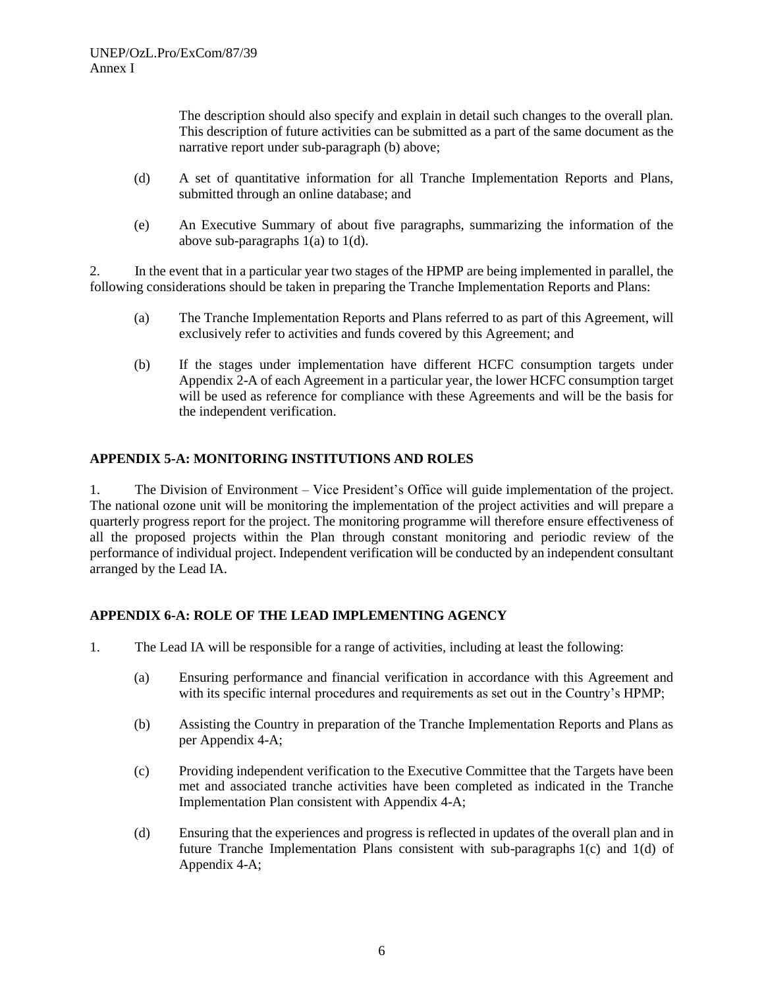The description should also specify and explain in detail such changes to the overall plan. This description of future activities can be submitted as a part of the same document as the narrative report under sub-paragraph (b) above;

- (d) A set of quantitative information for all Tranche Implementation Reports and Plans, submitted through an online database; and
- (e) An Executive Summary of about five paragraphs, summarizing the information of the above sub-paragraphs 1(a) to 1(d).

2. In the event that in a particular year two stages of the HPMP are being implemented in parallel, the following considerations should be taken in preparing the Tranche Implementation Reports and Plans:

- (a) The Tranche Implementation Reports and Plans referred to as part of this Agreement, will exclusively refer to activities and funds covered by this Agreement; and
- (b) If the stages under implementation have different HCFC consumption targets under Appendix 2-A of each Agreement in a particular year, the lower HCFC consumption target will be used as reference for compliance with these Agreements and will be the basis for the independent verification.

# **APPENDIX 5-A: MONITORING INSTITUTIONS AND ROLES**

1. The Division of Environment – Vice President's Office will guide implementation of the project. The national ozone unit will be monitoring the implementation of the project activities and will prepare a quarterly progress report for the project. The monitoring programme will therefore ensure effectiveness of all the proposed projects within the Plan through constant monitoring and periodic review of the performance of individual project. Independent verification will be conducted by an independent consultant arranged by the Lead IA.

### **APPENDIX 6-A: ROLE OF THE LEAD IMPLEMENTING AGENCY**

- 1. The Lead IA will be responsible for a range of activities, including at least the following:
	- (a) Ensuring performance and financial verification in accordance with this Agreement and with its specific internal procedures and requirements as set out in the Country's HPMP;
	- (b) Assisting the Country in preparation of the Tranche Implementation Reports and Plans as per Appendix 4-A;
	- (c) Providing independent verification to the Executive Committee that the Targets have been met and associated tranche activities have been completed as indicated in the Tranche Implementation Plan consistent with Appendix 4-A;
	- (d) Ensuring that the experiences and progress is reflected in updates of the overall plan and in future Tranche Implementation Plans consistent with sub-paragraphs 1(c) and 1(d) of Appendix 4-A;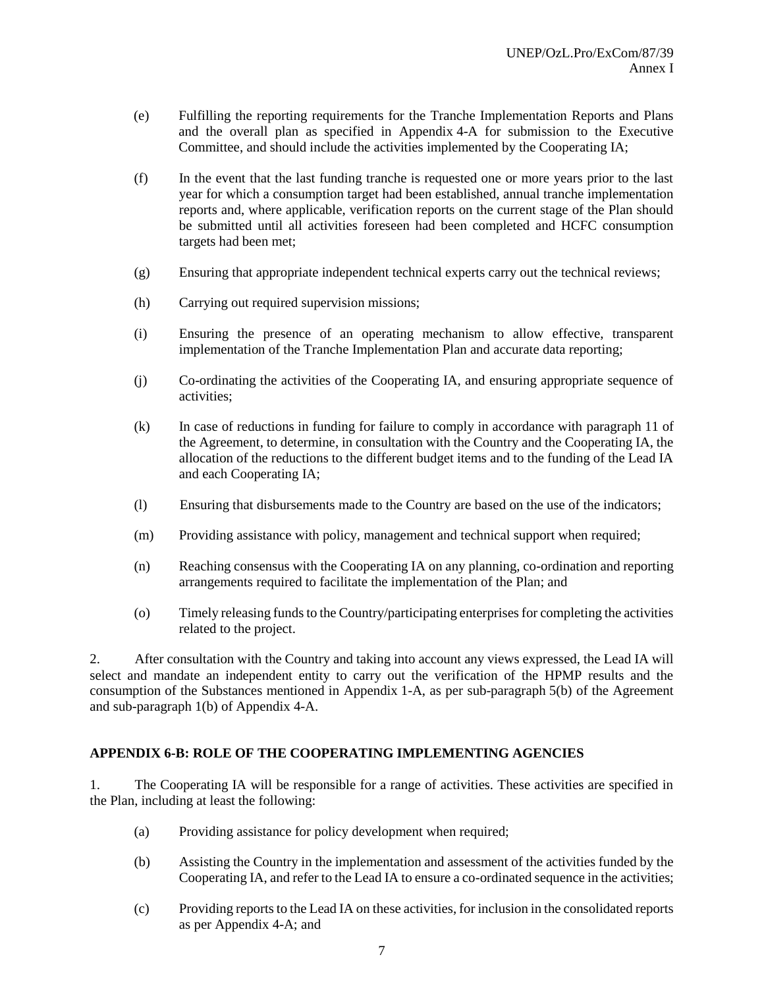- (e) Fulfilling the reporting requirements for the Tranche Implementation Reports and Plans and the overall plan as specified in Appendix 4-A for submission to the Executive Committee, and should include the activities implemented by the Cooperating IA;
- (f) In the event that the last funding tranche is requested one or more years prior to the last year for which a consumption target had been established, annual tranche implementation reports and, where applicable, verification reports on the current stage of the Plan should be submitted until all activities foreseen had been completed and HCFC consumption targets had been met;
- (g) Ensuring that appropriate independent technical experts carry out the technical reviews;
- (h) Carrying out required supervision missions;
- (i) Ensuring the presence of an operating mechanism to allow effective, transparent implementation of the Tranche Implementation Plan and accurate data reporting;
- (j) Co-ordinating the activities of the Cooperating IA, and ensuring appropriate sequence of activities;
- (k) In case of reductions in funding for failure to comply in accordance with paragraph 11 of the Agreement, to determine, in consultation with the Country and the Cooperating IA, the allocation of the reductions to the different budget items and to the funding of the Lead IA and each Cooperating IA;
- (l) Ensuring that disbursements made to the Country are based on the use of the indicators;
- (m) Providing assistance with policy, management and technical support when required;
- (n) Reaching consensus with the Cooperating IA on any planning, co-ordination and reporting arrangements required to facilitate the implementation of the Plan; and
- (o) Timely releasing funds to the Country/participating enterprises for completing the activities related to the project.

2. After consultation with the Country and taking into account any views expressed, the Lead IA will select and mandate an independent entity to carry out the verification of the HPMP results and the consumption of the Substances mentioned in Appendix 1-A, as per sub-paragraph 5(b) of the Agreement and sub-paragraph 1(b) of Appendix 4-A.

### **APPENDIX 6-B: ROLE OF THE COOPERATING IMPLEMENTING AGENCIES**

1. The Cooperating IA will be responsible for a range of activities. These activities are specified in the Plan, including at least the following:

- (a) Providing assistance for policy development when required;
- (b) Assisting the Country in the implementation and assessment of the activities funded by the Cooperating IA, and refer to the Lead IA to ensure a co-ordinated sequence in the activities;
- (c) Providing reports to the Lead IA on these activities, for inclusion in the consolidated reports as per Appendix 4-A; and